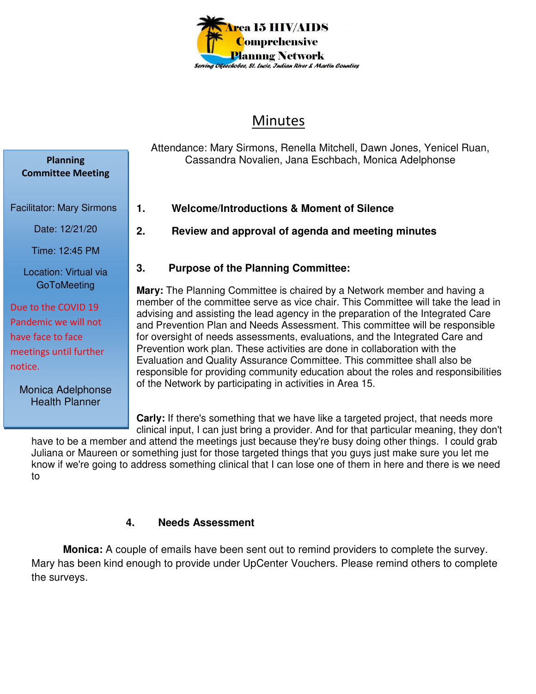

# Minutes

Attendance: Mary Sirmons, Renella Mitchell, Dawn Jones, Yenicel Ruan, Cassandra Novalien, Jana Eschbach, Monica Adelphonse

- **1. Welcome/Introductions & Moment of Silence**
- **2. Review and approval of agenda and meeting minutes**

## **3. Purpose of the Planning Committee:**

**Mary:** The Planning Committee is chaired by a Network member and having a member of the committee serve as vice chair. This Committee will take the lead in advising and assisting the lead agency in the preparation of the Integrated Care and Prevention Plan and Needs Assessment. This committee will be responsible for oversight of needs assessments, evaluations, and the Integrated Care and Prevention work plan. These activities are done in collaboration with the Evaluation and Quality Assurance Committee. This committee shall also be responsible for providing community education about the roles and responsibilities of the Network by participating in activities in Area 15.

**Carly:** If there's something that we have like a targeted project, that needs more clinical input, I can just bring a provider. And for that particular meaning, they don't

have to be a member and attend the meetings just because they're busy doing other things. I could grab Juliana or Maureen or something just for those targeted things that you guys just make sure you let me know if we're going to address something clinical that I can lose one of them in here and there is we need to

#### **4. Needs Assessment**

 **Monica:** A couple of emails have been sent out to remind providers to complete the survey. Mary has been kind enough to provide under UpCenter Vouchers. Please remind others to complete the surveys.

Facilitator: Mary Sirmons Date: 12/21/20 Time: 12:45 PM Location: Virtual via **GoToMeeting** Due to the COVID 19 Pandemic we will not have face to face meetings until further

**Planning Committee Meeting** 

Monica Adelphonse Health Planner

notice.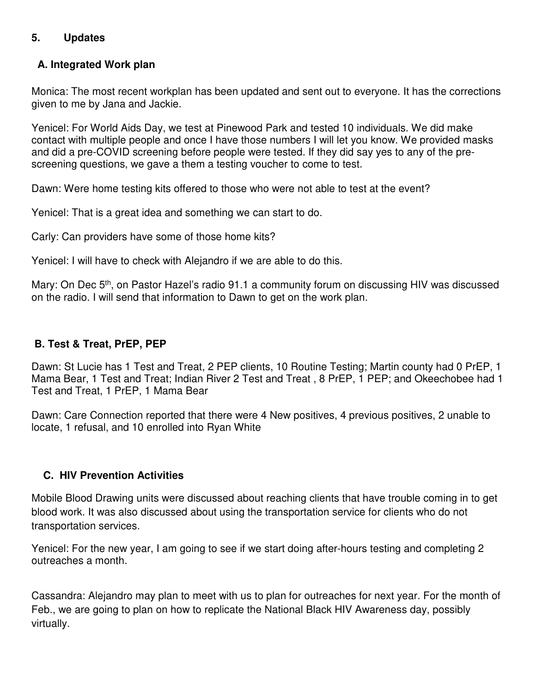# **5. Updates**

# **A. Integrated Work plan**

Monica: The most recent workplan has been updated and sent out to everyone. It has the corrections given to me by Jana and Jackie.

Yenicel: For World Aids Day, we test at Pinewood Park and tested 10 individuals. We did make contact with multiple people and once I have those numbers I will let you know. We provided masks and did a pre-COVID screening before people were tested. If they did say yes to any of the prescreening questions, we gave a them a testing voucher to come to test.

Dawn: Were home testing kits offered to those who were not able to test at the event?

Yenicel: That is a great idea and something we can start to do.

Carly: Can providers have some of those home kits?

Yenicel: I will have to check with Alejandro if we are able to do this.

Mary: On Dec 5<sup>th</sup>, on Pastor Hazel's radio 91.1 a community forum on discussing HIV was discussed on the radio. I will send that information to Dawn to get on the work plan.

## **B. Test & Treat, PrEP, PEP**

Dawn: St Lucie has 1 Test and Treat, 2 PEP clients, 10 Routine Testing; Martin county had 0 PrEP, 1 Mama Bear, 1 Test and Treat; Indian River 2 Test and Treat , 8 PrEP, 1 PEP; and Okeechobee had 1 Test and Treat, 1 PrEP, 1 Mama Bear

Dawn: Care Connection reported that there were 4 New positives, 4 previous positives, 2 unable to locate, 1 refusal, and 10 enrolled into Ryan White

## **C. HIV Prevention Activities**

Mobile Blood Drawing units were discussed about reaching clients that have trouble coming in to get blood work. It was also discussed about using the transportation service for clients who do not transportation services.

Yenicel: For the new year, I am going to see if we start doing after-hours testing and completing 2 outreaches a month.

Cassandra: Alejandro may plan to meet with us to plan for outreaches for next year. For the month of Feb., we are going to plan on how to replicate the National Black HIV Awareness day, possibly virtually.